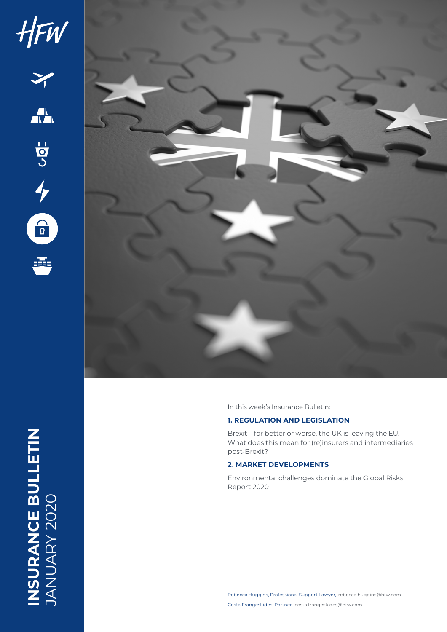

INSURANCE BULLETIN<br>JANUARY 2020 **INSURANCE BULLETIN** JANUARY 2020

In this week's Insurance Bulletin:

## **1. REGULATION AND LEGISLATION**

Brexit – for better or worse, the UK is leaving the EU. What does this mean for (re)insurers and intermediaries post-Brexit?

## **2. MARKET DEVELOPMENTS**

Environmental challenges dominate the Global Risks Report 2020

Rebecca Huggins, Professional Support Lawyer, rebecca.huggins@hfw.com Costa Frangeskides, Partner, costa.frangeskides@hfw.com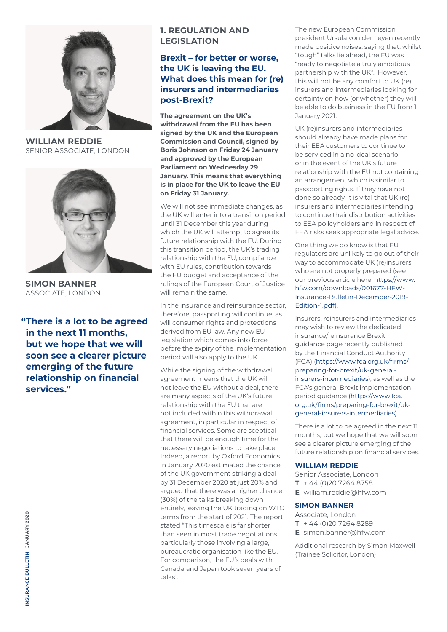

**WILLIAM REDDIE** SENIOR ASSOCIATE, LONDON



**SIMON BANNER** ASSOCIATE, LONDON

**"There is a lot to be agreed in the next 11 months, but we hope that we will soon see a clearer picture emerging of the future relationship on financial services."**

# **1. REGULATION AND LEGISLATION**

## **Brexit – for better or worse, the UK is leaving the EU. What does this mean for (re) insurers and intermediaries post-Brexit?**

**The agreement on the UK's withdrawal from the EU has been signed by the UK and the European Commission and Council, signed by Boris Johnson on Friday 24 January and approved by the European Parliament on Wednesday 29 January. This means that everything is in place for the UK to leave the EU on Friday 31 January.** 

We will not see immediate changes, as the UK will enter into a transition period until 31 December this year during which the UK will attempt to agree its future relationship with the EU. During this transition period, the UK's trading relationship with the EU, compliance with EU rules, contribution towards the EU budget and acceptance of the rulings of the European Court of Justice will remain the same.

In the insurance and reinsurance sector, therefore, passporting will continue, as will consumer rights and protections derived from EU law. Any new EU legislation which comes into force before the expiry of the implementation period will also apply to the UK.

While the signing of the withdrawal agreement means that the UK will not leave the EU without a deal, there are many aspects of the UK's future relationship with the EU that are not included within this withdrawal agreement, in particular in respect of financial services. Some are sceptical that there will be enough time for the necessary negotiations to take place. Indeed, a report by Oxford Economics in January 2020 estimated the chance of the UK government striking a deal by 31 December 2020 at just 20% and argued that there was a higher chance (30%) of the talks breaking down entirely, leaving the UK trading on WTO terms from the start of 2021. The report stated "This timescale is far shorter than seen in most trade negotiations, particularly those involving a large, bureaucratic organisation like the EU. For comparison, the EU's deals with Canada and Japan took seven years of talks".

The new European Commission president Ursula von der Leyen recently made positive noises, saying that, whilst "tough" talks lie ahead, the EU was "ready to negotiate a truly ambitious partnership with the UK". However, this will not be any comfort to UK (re) insurers and intermediaries looking for certainty on how (or whether) they will be able to do business in the EU from 1 January 2021.

UK (re)insurers and intermediaries should already have made plans for their EEA customers to continue to be serviced in a no-deal scenario, or in the event of the UK's future relationship with the EU not containing an arrangement which is similar to passporting rights. If they have not done so already, it is vital that UK (re) insurers and intermediaries intending to continue their distribution activities to EEA policyholders and in respect of EEA risks seek appropriate legal advice.

One thing we do know is that EU regulators are unlikely to go out of their way to accommodate UK (re)insurers who are not properly prepared (see our previous article here: [https://www.](https://www.hfw.com/downloads/001677-HFW-Insurance-Bulletin-December-2019-Edition-1.pdf) [hfw.com/downloads/001677-HFW-](https://www.hfw.com/downloads/001677-HFW-Insurance-Bulletin-December-2019-Edition-1.pdf)[Insurance-Bulletin-December-2019-](https://www.hfw.com/downloads/001677-HFW-Insurance-Bulletin-December-2019-Edition-1.pdf) [Edition-1.pdf\)](https://www.hfw.com/downloads/001677-HFW-Insurance-Bulletin-December-2019-Edition-1.pdf).

Insurers, reinsurers and intermediaries may wish to review the dedicated insurance/reinsurance Brexit guidance page recently published by the Financial Conduct Authority (FCA) ([https://www.fca.org.uk/firms/](https://www.fca.org.uk/firms/preparing-for-brexit/uk-general-insurers-intermediaries) [preparing-for-brexit/uk-general](https://www.fca.org.uk/firms/preparing-for-brexit/uk-general-insurers-intermediaries)[insurers-intermediaries\)](https://www.fca.org.uk/firms/preparing-for-brexit/uk-general-insurers-intermediaries), as well as the FCA's general Brexit implementation period guidance [\(https://www.fca.](https://www.fca.org.uk/firms/preparing-for-brexit/uk-general-insurers-intermediaries) [org.uk/firms/preparing-for-brexit/uk](https://www.fca.org.uk/firms/preparing-for-brexit/uk-general-insurers-intermediaries)[general-insurers-intermediaries](https://www.fca.org.uk/firms/preparing-for-brexit/uk-general-insurers-intermediaries)).

There is a lot to be agreed in the next 11 months, but we hope that we will soon see a clearer picture emerging of the future relationship on financial services.

#### **WILLIAM REDDIE**

Senior Associate, London **T** + 44 (0)20 7264 8758 **E** william.reddie@hfw.com

### **SIMON BANNER**

Associate, London **T** + 44 (0)20 7264 8289 **E** simon.banner@hfw.com

Additional research by Simon Maxwell (Trainee Solicitor, London)